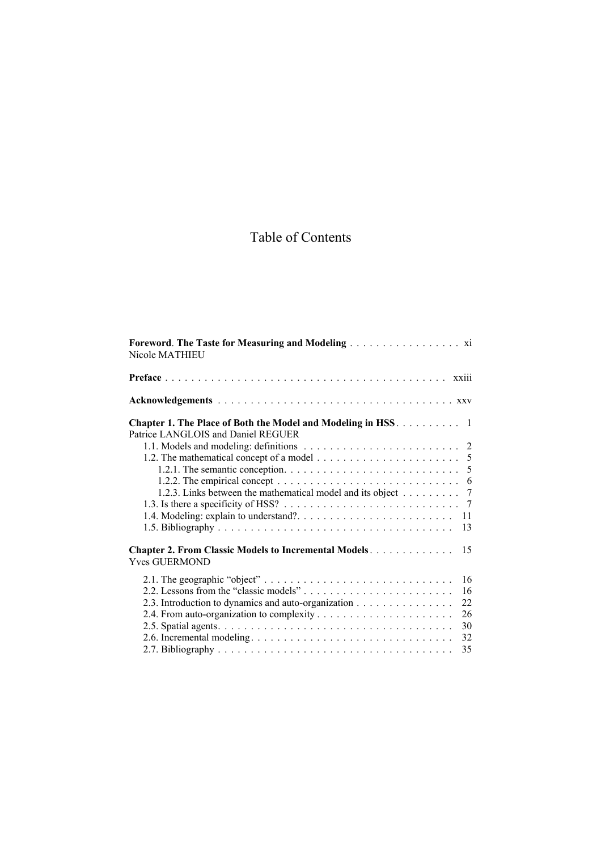## Table of Contents

| Nicole MATHIEU                                                                                                                                                       |
|----------------------------------------------------------------------------------------------------------------------------------------------------------------------|
|                                                                                                                                                                      |
|                                                                                                                                                                      |
| <b>Chapter 1. The Place of Both the Model and Modeling in HSS.</b> 1<br>Patrice LANGLOIS and Daniel REGUER                                                           |
| 1.2. The mathematical concept of a model $\dots \dots \dots \dots \dots \dots \dots \dots$                                                                           |
| 1.2.2. The empirical concept $\ldots \ldots \ldots \ldots \ldots \ldots \ldots \ldots \ldots \ldots$<br>1.2.3. Links between the mathematical model and its object 7 |
| 11                                                                                                                                                                   |
| 13<br><b>Chapter 2. From Classic Models to Incremental Models</b><br>15                                                                                              |
| <b>Yves GUERMOND</b>                                                                                                                                                 |
| 16<br>16                                                                                                                                                             |
| 2.3. Introduction to dynamics and auto-organization<br>22<br>26                                                                                                      |
| 30<br>32                                                                                                                                                             |
| 35                                                                                                                                                                   |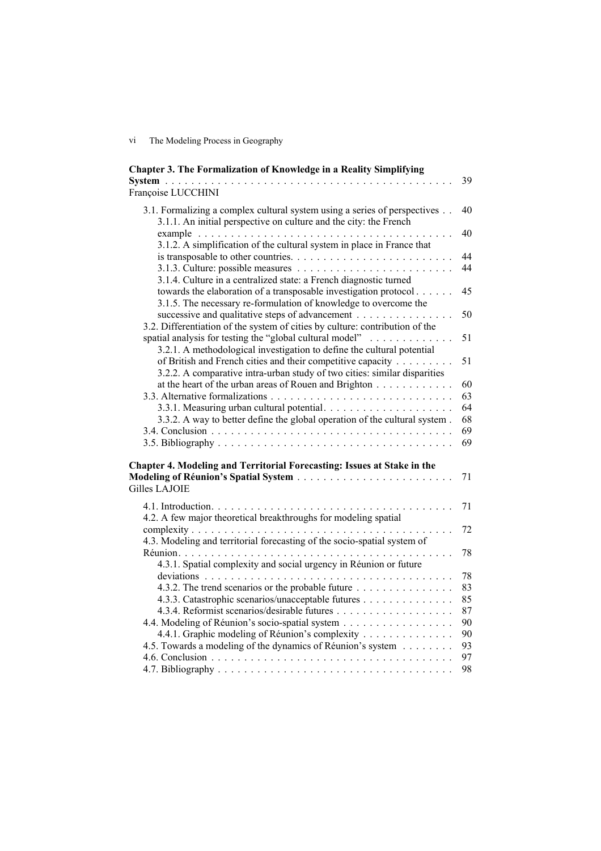vi The Modeling Process in Geography

| Chapter 3. The Formalization of Knowledge in a Reality Simplifying                                                                             | 39       |
|------------------------------------------------------------------------------------------------------------------------------------------------|----------|
| Françoise LUCCHINI                                                                                                                             |          |
| 3.1. Formalizing a complex cultural system using a series of perspectives<br>3.1.1. An initial perspective on culture and the city: the French | 40       |
| example<br>3.1.2. A simplification of the cultural system in place in France that                                                              | 40       |
|                                                                                                                                                | 44<br>44 |
| 3.1.4. Culture in a centralized state: a French diagnostic turned<br>towards the elaboration of a transposable investigation protocol          | 45       |
| 3.1.5. The necessary re-formulation of knowledge to overcome the<br>successive and qualitative steps of advancement                            | 50       |
| 3.2. Differentiation of the system of cities by culture: contribution of the<br>spatial analysis for testing the "global cultural model"       | 51       |
| 3.2.1. A methodological investigation to define the cultural potential                                                                         |          |
| of British and French cities and their competitive capacity                                                                                    | 51       |
| 3.2.2. A comparative intra-urban study of two cities: similar disparities<br>at the heart of the urban areas of Rouen and Brighton             | 60       |
|                                                                                                                                                | 63       |
|                                                                                                                                                | 64       |
| 3.3.2. A way to better define the global operation of the cultural system.                                                                     | 68<br>69 |
|                                                                                                                                                | 69       |
| Chapter 4. Modeling and Territorial Forecasting: Issues at Stake in the                                                                        |          |
| <b>Gilles LAJOIE</b>                                                                                                                           | 71       |
|                                                                                                                                                | 71       |
| 4.2. A few major theoretical breakthroughs for modeling spatial                                                                                |          |
| 4.3. Modeling and territorial forecasting of the socio-spatial system of                                                                       | 72       |
|                                                                                                                                                | 78       |
| 4.3.1. Spatial complexity and social urgency in Réunion or future                                                                              |          |
| 4.3.2. The trend scenarios or the probable future                                                                                              | 78<br>83 |
| 4.3.3. Catastrophic scenarios/unacceptable futures                                                                                             | 85       |
|                                                                                                                                                | 87       |
| 4.4. Modeling of Réunion's socio-spatial system                                                                                                | 90<br>90 |
| 4.4.1. Graphic modeling of Réunion's complexity<br>4.5. Towards a modeling of the dynamics of Réunion's system                                 | 93       |
|                                                                                                                                                | 97       |
|                                                                                                                                                | 98       |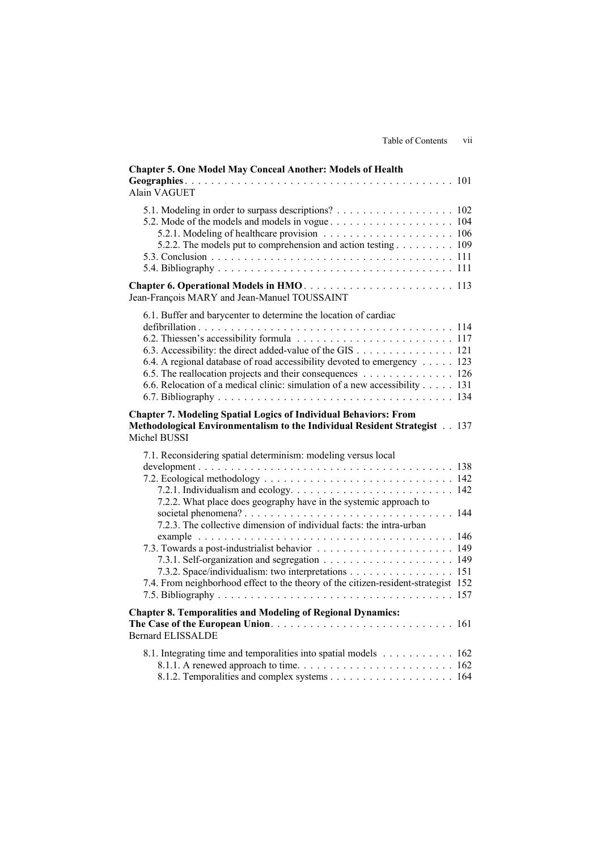| <b>Chapter 5. One Model May Conceal Another: Models of Health</b><br><b>Alain VAGUET</b>                                                                                                                                                                                                                                                                |  |
|---------------------------------------------------------------------------------------------------------------------------------------------------------------------------------------------------------------------------------------------------------------------------------------------------------------------------------------------------------|--|
| 5.1. Modeling in order to surpass descriptions? 102<br>5.2.2. The models put to comprehension and action testing 109                                                                                                                                                                                                                                    |  |
| Jean-François MARY and Jean-Manuel TOUSSAINT                                                                                                                                                                                                                                                                                                            |  |
| 6.1. Buffer and barycenter to determine the location of cardiac<br>6.3. Accessibility: the direct added-value of the GIS 121<br>6.4. A regional database of road accessibility devoted to emergency 123<br>6.5. The reallocation projects and their consequences 126<br>6.6. Relocation of a medical clinic: simulation of a new accessibility 131      |  |
| <b>Chapter 7. Modeling Spatial Logics of Individual Behaviors: From</b><br>Methodological Environmentalism to the Individual Resident Strategist 137<br>Michel BUSSI                                                                                                                                                                                    |  |
| 7.1. Reconsidering spatial determinism: modeling versus local<br>7.2.2. What place does geography have in the systemic approach to<br>7.2.3. The collective dimension of individual facts: the intra-urban<br>7.3.2. Space/individualism: two interpretations 151<br>7.4. From neighborhood effect to the theory of the citizen-resident-strategist 152 |  |
| <b>Chapter 8. Temporalities and Modeling of Regional Dynamics:</b><br><b>Bernard ELISSALDE</b>                                                                                                                                                                                                                                                          |  |
| 8.1. Integrating time and temporalities into spatial models 162                                                                                                                                                                                                                                                                                         |  |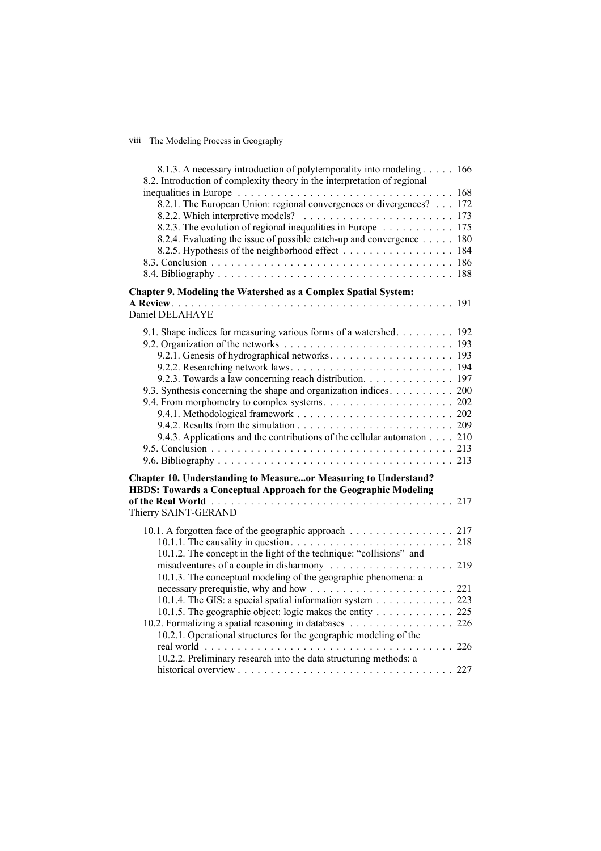## viii The Modeling Process in Geography

| 8.1.3. A necessary introduction of polytemporality into modeling 166<br>8.2. Introduction of complexity theory in the interpretation of regional                                         |  |
|------------------------------------------------------------------------------------------------------------------------------------------------------------------------------------------|--|
| inequalities in Europe $\ldots \ldots \ldots \ldots \ldots \ldots \ldots \ldots \ldots \ldots \ldots \ldots 168$<br>8.2.1. The European Union: regional convergences or divergences? 172 |  |
| 8.2.3. The evolution of regional inequalities in Europe 175<br>8.2.4. Evaluating the issue of possible catch-up and convergence 180                                                      |  |
| 8.2.5. Hypothesis of the neighborhood effect 184                                                                                                                                         |  |
|                                                                                                                                                                                          |  |
| Chapter 9. Modeling the Watershed as a Complex Spatial System:                                                                                                                           |  |
| Daniel DELAHAYE                                                                                                                                                                          |  |
| 9.1. Shape indices for measuring various forms of a watershed 192                                                                                                                        |  |
|                                                                                                                                                                                          |  |
|                                                                                                                                                                                          |  |
| 9.2.3. Towards a law concerning reach distribution. 197                                                                                                                                  |  |
| 9.3. Synthesis concerning the shape and organization indices. 200                                                                                                                        |  |
|                                                                                                                                                                                          |  |
|                                                                                                                                                                                          |  |
|                                                                                                                                                                                          |  |
| 9.4.3. Applications and the contributions of the cellular automaton 210                                                                                                                  |  |
|                                                                                                                                                                                          |  |
| <b>Chapter 10. Understanding to Measureor Measuring to Understand?</b>                                                                                                                   |  |
| <b>HBDS: Towards a Conceptual Approach for the Geographic Modeling</b>                                                                                                                   |  |
| Thierry SAINT-GERAND                                                                                                                                                                     |  |
| 10.1. A forgotten face of the geographic approach 217                                                                                                                                    |  |
| 10.1.2. The concept in the light of the technique: "collisions" and                                                                                                                      |  |
|                                                                                                                                                                                          |  |
| 10.1.3. The conceptual modeling of the geographic phenomena: a                                                                                                                           |  |
| 10.1.4. The GIS: a special spatial information system 223                                                                                                                                |  |
| 10.1.5. The geographic object: logic makes the entity 225                                                                                                                                |  |
| 10.2. Formalizing a spatial reasoning in databases 226                                                                                                                                   |  |
| 10.2.1. Operational structures for the geographic modeling of the                                                                                                                        |  |
| 10.2.2. Preliminary research into the data structuring methods: a                                                                                                                        |  |
|                                                                                                                                                                                          |  |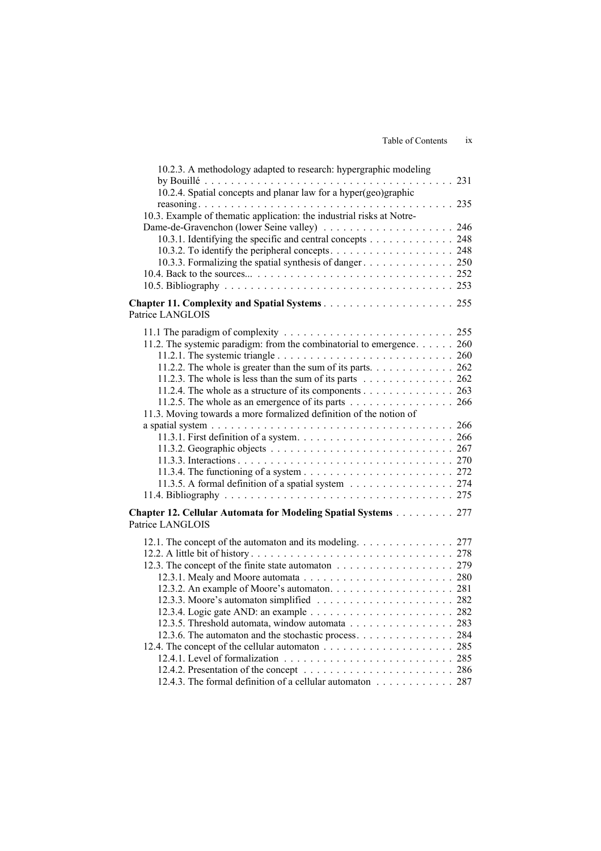| 10.2.3. A methodology adapted to research: hypergraphic modeling                                |  |
|-------------------------------------------------------------------------------------------------|--|
| 10.2.4. Spatial concepts and planar law for a hyper(geo)graphic                                 |  |
|                                                                                                 |  |
| 10.3. Example of thematic application: the industrial risks at Notre-                           |  |
|                                                                                                 |  |
| 10.3.1. Identifying the specific and central concepts 248                                       |  |
|                                                                                                 |  |
|                                                                                                 |  |
|                                                                                                 |  |
|                                                                                                 |  |
|                                                                                                 |  |
| Patrice LANGLOIS                                                                                |  |
|                                                                                                 |  |
| 11.2. The systemic paradigm: from the combinatorial to emergence. 260                           |  |
|                                                                                                 |  |
| 11.2.2. The whole is greater than the sum of its parts. $\dots \dots \dots \dots \dots$ 262     |  |
| 11.2.3. The whole is less than the sum of its parts $\dots \dots \dots \dots \dots \dots$ 262   |  |
| 11.2.4. The whole as a structure of its components 263                                          |  |
| 11.2.5. The whole as an emergence of its parts $\dots \dots \dots \dots \dots \dots \dots$ 266  |  |
| 11.3. Moving towards a more formalized definition of the notion of                              |  |
|                                                                                                 |  |
|                                                                                                 |  |
|                                                                                                 |  |
|                                                                                                 |  |
| 11.3.5. A formal definition of a spatial system $\dots \dots \dots \dots \dots \dots \dots 274$ |  |
|                                                                                                 |  |
|                                                                                                 |  |
| Chapter 12. Cellular Automata for Modeling Spatial Systems 277<br>Patrice LANGLOIS              |  |
|                                                                                                 |  |
| 12.1. The concept of the automaton and its modeling. 277                                        |  |
|                                                                                                 |  |
| 12.3. The concept of the finite state automaton 279                                             |  |
|                                                                                                 |  |
|                                                                                                 |  |
|                                                                                                 |  |
| 12.3.5. Threshold automata, window automata 283                                                 |  |
| 12.3.6. The automaton and the stochastic process. 284                                           |  |
|                                                                                                 |  |
|                                                                                                 |  |
|                                                                                                 |  |
| 12.4.3. The formal definition of a cellular automaton 287                                       |  |
|                                                                                                 |  |